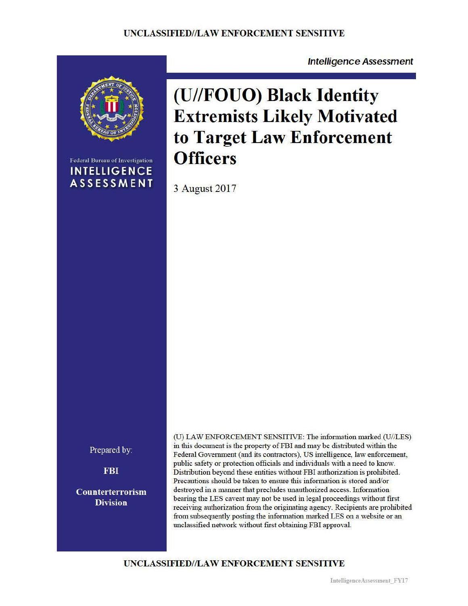

Federal Bureau of Investigation **INTELLIGENCE ASSESSMENT** 

**(U//FOUO) Black Identity Extremists Likely Motivated to Target Law Enforcement Officers** 

**Intelligence Assessment** 

3 August 2017

Prepared by:

**FBI** 

Counterterrorism **Division** 

(U) LAW ENFORCEMENT SENSITIVE: The information marked (U//LES) in this document is the property of FBI and may be distributed within the Federal Government (and its contractors), US intelligence, law enforcement, public safety or protection officials and individuals with a need to know. Distribution beyond these entities without FBI authorization is prohibited. Precautions should be taken to ensure this information is stored and/or destroyed in a manner that precludes unauthorized access. Information bearing the LES caveat may not be used in legal proceedings without first receiving authorization from the originating agency. Recipients are prohibited from subsequently posting the information marked LES on a website or an unclassified network without first obtaining FBI approval.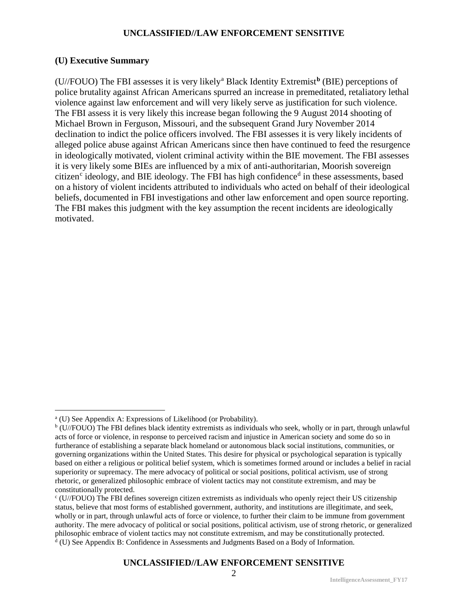#### **(U) Executive Summary**

(U//FOUO) The FBI assesses it is very likely<sup>a</sup> Black Identity Extremist**<sup>b</sup>** (BIE) perceptions of police brutality against African Americans spurred an increase in premeditated, retaliatory lethal violence against law enforcement and will very likely serve as justification for such violence. The FBI assess it is very likely this increase began following the 9 August 2014 shooting of Michael Brown in Ferguson, Missouri, and the subsequent Grand Jury November 2014 declination to indict the police officers involved. The FBI assesses it is very likely incidents of alleged police abuse against African Americans since then have continued to feed the resurgence in ideologically motivated, violent criminal activity within the BIE movement. The FBI assesses it is very likely some BIEs are influenced by a mix of anti-authoritarian, Moorish sovereign citizen<sup>c</sup> ideology, and BIE ideology. The FBI has high confidence<sup>d</sup> in these assessments, based on a history of violent incidents attributed to individuals who acted on behalf of their ideological beliefs, documented in FBI investigations and other law enforcement and open source reporting. The FBI makes this judgment with the key assumption the recent incidents are ideologically motivated.

 $\overline{a}$ 

<sup>&</sup>lt;sup>a</sup> (U) See Appendix A: Expressions of Likelihood (or Probability).

b (U//FOUO) The FBI defines black identity extremists as individuals who seek, wholly or in part, through unlawful acts of force or violence, in response to perceived racism and injustice in American society and some do so in furtherance of establishing a separate black homeland or autonomous black social institutions, communities, or governing organizations within the United States. This desire for physical or psychological separation is typically based on either a religious or political belief system, which is sometimes formed around or includes a belief in racial superiority or supremacy. The mere advocacy of political or social positions, political activism, use of strong rhetoric, or generalized philosophic embrace of violent tactics may not constitute extremism, and may be constitutionally protected.

 $c$  (U//FOUO) The FBI defines sovereign citizen extremists as individuals who openly reject their US citizenship status, believe that most forms of established government, authority, and institutions are illegitimate, and seek, wholly or in part, through unlawful acts of force or violence, to further their claim to be immune from government authority. The mere advocacy of political or social positions, political activism, use of strong rhetoric, or generalized philosophic embrace of violent tactics may not constitute extremism, and may be constitutionally protected. <sup>d</sup> (U) See Appendix B: Confidence in Assessments and Judgments Based on a Body of Information.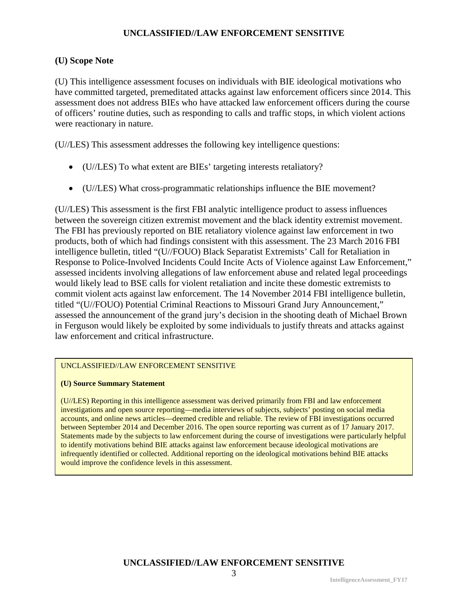#### **(U) Scope Note**

(U) This intelligence assessment focuses on individuals with BIE ideological motivations who have committed targeted, premeditated attacks against law enforcement officers since 2014. This assessment does not address BIEs who have attacked law enforcement officers during the course of officers' routine duties, such as responding to calls and traffic stops, in which violent actions were reactionary in nature.

(U//LES) This assessment addresses the following key intelligence questions:

- (U//LES) To what extent are BIEs' targeting interests retaliatory?
- (U//LES) What cross-programmatic relationships influence the BIE movement?

(U//LES) This assessment is the first FBI analytic intelligence product to assess influences between the sovereign citizen extremist movement and the black identity extremist movement. The FBI has previously reported on BIE retaliatory violence against law enforcement in two products, both of which had findings consistent with this assessment. The 23 March 2016 FBI intelligence bulletin, titled "(U//FOUO) Black Separatist Extremists' Call for Retaliation in Response to Police-Involved Incidents Could Incite Acts of Violence against Law Enforcement," assessed incidents involving allegations of law enforcement abuse and related legal proceedings would likely lead to BSE calls for violent retaliation and incite these domestic extremists to commit violent acts against law enforcement. The 14 November 2014 FBI intelligence bulletin, titled "(U//FOUO) Potential Criminal Reactions to Missouri Grand Jury Announcement," assessed the announcement of the grand jury's decision in the shooting death of Michael Brown in Ferguson would likely be exploited by some individuals to justify threats and attacks against law enforcement and critical infrastructure.

#### UNCLASSIFIED//LAW ENFORCEMENT SENSITIVE

#### **(U) Source Summary Statement**

(U//LES) Reporting in this intelligence assessment was derived primarily from FBI and law enforcement investigations and open source reporting—media interviews of subjects, subjects' posting on social media accounts, and online news articles—deemed credible and reliable. The review of FBI investigations occurred between September 2014 and December 2016. The open source reporting was current as of 17 January 2017. Statements made by the subjects to law enforcement during the course of investigations were particularly helpful to identify motivations behind BIE attacks against law enforcement because ideological motivations are infrequently identified or collected. Additional reporting on the ideological motivations behind BIE attacks would improve the confidence levels in this assessment.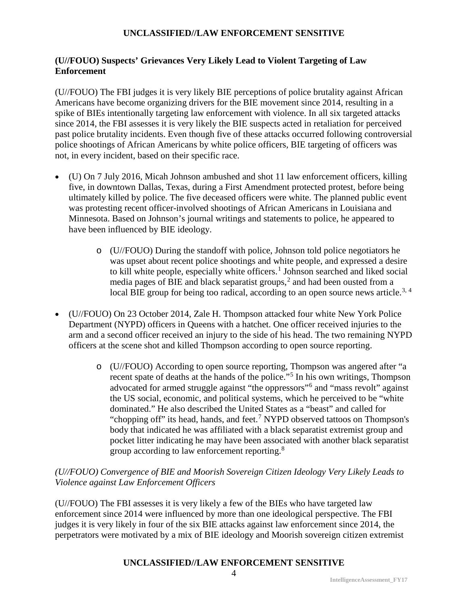## **(U//FOUO) Suspects' Grievances Very Likely Lead to Violent Targeting of Law Enforcement**

(U//FOUO) The FBI judges it is very likely BIE perceptions of police brutality against African Americans have become organizing drivers for the BIE movement since 2014, resulting in a spike of BIEs intentionally targeting law enforcement with violence. In all six targeted attacks since 2014, the FBI assesses it is very likely the BIE suspects acted in retaliation for perceived past police brutality incidents. Even though five of these attacks occurred following controversial police shootings of African Americans by white police officers, BIE targeting of officers was not, in every incident, based on their specific race.

- (U) On 7 July 2016, Micah Johnson ambushed and shot 11 law enforcement officers, killing five, in downtown Dallas, Texas, during a First Amendment protected protest, before being ultimately killed by police. The five deceased officers were white. The planned public event was protesting recent officer-involved shootings of African Americans in Louisiana and Minnesota. Based on Johnson's journal writings and statements to police, he appeared to have been influenced by BIE ideology.
	- o (U//FOUO) During the standoff with police, Johnson told police negotiators he was upset about recent police shootings and white people, and expressed a desire to kill white people, especially white officers.<sup>1</sup> Johnson searched and liked social media pages of BIE and black separatist groups,<sup>2</sup> and had been ousted from a local BIE group for being too radical, according to an open source news article.<sup>3, 4</sup>
- (U//FOUO) On 23 October 2014, Zale H. Thompson attacked four white New York Police Department (NYPD) officers in Queens with a hatchet. One officer received injuries to the arm and a second officer received an injury to the side of his head. The two remaining NYPD officers at the scene shot and killed Thompson according to open source reporting.
	- o (U//FOUO) According to open source reporting, Thompson was angered after "a recent spate of deaths at the hands of the police."<sup>5</sup> In his own writings, Thompson advocated for armed struggle against "the oppressors"<sup>6</sup> and "mass revolt" against the US social, economic, and political systems, which he perceived to be "white dominated." He also described the United States as a "beast" and called for "chopping off" its head, hands, and feet.<sup>7</sup> NYPD observed tattoos on Thompson's body that indicated he was affiliated with a black separatist extremist group and pocket litter indicating he may have been associated with another black separatist group according to law enforcement reporting.<sup>8</sup>

## *(U//FOUO) Convergence of BIE and Moorish Sovereign Citizen Ideology Very Likely Leads to Violence against Law Enforcement Officers*

(U//FOUO) The FBI assesses it is very likely a few of the BIEs who have targeted law enforcement since 2014 were influenced by more than one ideological perspective. The FBI judges it is very likely in four of the six BIE attacks against law enforcement since 2014, the perpetrators were motivated by a mix of BIE ideology and Moorish sovereign citizen extremist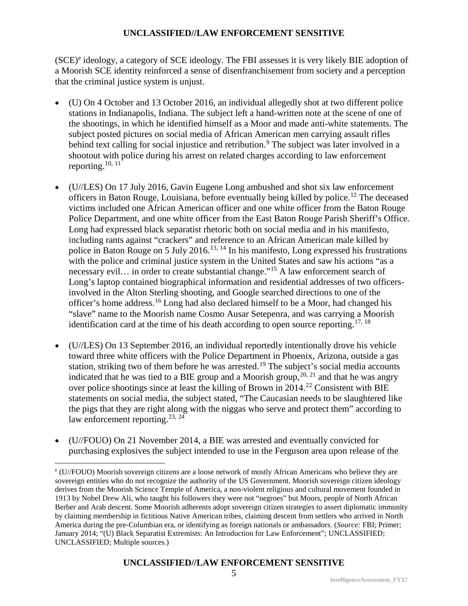$(**SCE**)<sup>e</sup>$  ideology, a category of  **ideology. The FBI assesses it is very likely BIE adoption of** a Moorish SCE identity reinforced a sense of disenfranchisement from society and a perception that the criminal justice system is unjust.

- (U) On 4 October and 13 October 2016, an individual allegedly shot at two different police stations in Indianapolis, Indiana. The subject left a hand-written note at the scene of one of the shootings, in which he identified himself as a Moor and made anti-white statements. The subject posted pictures on social media of African American men carrying assault rifles behind text calling for social injustice and retribution.<sup>9</sup> The subject was later involved in a shootout with police during his arrest on related charges according to law enforcement reporting.<sup>10, 11</sup>
- (U//LES) On 17 July 2016, Gavin Eugene Long ambushed and shot six law enforcement officers in Baton Rouge, Louisiana, before eventually being killed by police.<sup>12</sup> The deceased victims included one African American officer and one white officer from the Baton Rouge Police Department, and one white officer from the East Baton Rouge Parish Sheriff's Office. Long had expressed black separatist rhetoric both on social media and in his manifesto, including rants against "crackers" and reference to an African American male killed by police in Baton Rouge on 5 July 2016.<sup>13, 14</sup> In his manifesto, Long expressed his frustrations with the police and criminal justice system in the United States and saw his actions "as a necessary evil... in order to create substantial change."<sup>15</sup> A law enforcement search of Long's laptop contained biographical information and residential addresses of two officersinvolved in the Alton Sterling shooting, and Google searched directions to one of the officer's home address.<sup>16</sup> Long had also declared himself to be a Moor, had changed his "slave" name to the Moorish name Cosmo Ausar Setepenra, and was carrying a Moorish identification card at the time of his death according to open source reporting.<sup>17, 18</sup>
- (U//LES) On 13 September 2016, an individual reportedly intentionally drove his vehicle toward three white officers with the Police Department in Phoenix, Arizona, outside a gas station, striking two of them before he was arrested.<sup>19</sup> The subject's social media accounts indicated that he was tied to a BIE group and a Moorish group,  $20, 21$  and that he was angry over police shootings since at least the killing of Brown in  $2014.<sup>22</sup>$  Consistent with BIE statements on social media, the subject stated, "The Caucasian needs to be slaughtered like the pigs that they are right along with the niggas who serve and protect them" according to law enforcement reporting.<sup>23, 24</sup>
- (U//FOUO) On 21 November 2014, a BIE was arrested and eventually convicted for purchasing explosives the subject intended to use in the Ferguson area upon release of the

 $\overline{a}$ 

<sup>e</sup> (U//FOUO) Moorish sovereign citizens are a loose network of mostly African Americans who believe they are sovereign entities who do not recognize the authority of the US Government. Moorish sovereign citizen ideology derives from the Moorish Science Temple of America, a non-violent religious and cultural movement founded in 1913 by Nobel Drew Ali, who taught his followers they were not "negroes" but Moors, people of North African Berber and Arab descent. Some Moorish adherents adopt sovereign citizen strategies to assert diplomatic immunity by claiming membership in fictitious Native American tribes, claiming descent from settlers who arrived in North America during the pre-Columbian era, or identifying as foreign nationals or ambassadors. (*Source:* FBI; Primer; January 2014; "(U) Black Separatist Extremists: An Introduction for Law Enforcement"; UNCLASSIFIED; UNCLASSIFIED; Multiple sources.)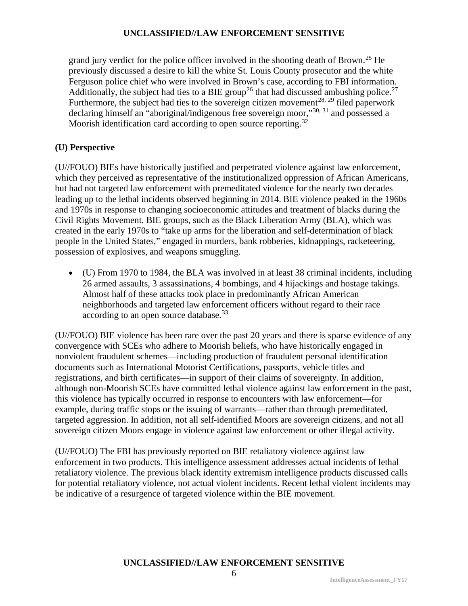grand jury verdict for the police officer involved in the shooting death of Brown.<sup>25</sup> He previously discussed a desire to kill the white St. Louis County prosecutor and the white Ferguson police chief who were involved in Brown's case, according to FBI information. Additionally, the subject had ties to a BIE group<sup>26</sup> that had discussed ambushing police.<sup>27</sup> Furthermore, the subject had ties to the sovereign citizen movement<sup>28, 29</sup> filed paperwork declaring himself an "aboriginal/indigenous free sovereign moor,"<sup>30, 31</sup> and possessed a Moorish identification card according to open source reporting.<sup>32</sup>

## **(U) Perspective**

(U//FOUO) BIEs have historically justified and perpetrated violence against law enforcement, which they perceived as representative of the institutionalized oppression of African Americans, but had not targeted law enforcement with premeditated violence for the nearly two decades leading up to the lethal incidents observed beginning in 2014. BIE violence peaked in the 1960s and 1970s in response to changing socioeconomic attitudes and treatment of blacks during the Civil Rights Movement. BIE groups, such as the Black Liberation Army (BLA), which was created in the early 1970s to "take up arms for the liberation and self-determination of black people in the United States," engaged in murders, bank robberies, kidnappings, racketeering, possession of explosives, and weapons smuggling.

• (U) From 1970 to 1984, the BLA was involved in at least 38 criminal incidents, including 26 armed assaults, 3 assassinations, 4 bombings, and 4 hijackings and hostage takings. Almost half of these attacks took place in predominantly African American neighborhoods and targeted law enforcement officers without regard to their race according to an open source database.<sup>33</sup>

(U//FOUO) BIE violence has been rare over the past 20 years and there is sparse evidence of any convergence with SCEs who adhere to Moorish beliefs, who have historically engaged in nonviolent fraudulent schemes—including production of fraudulent personal identification documents such as International Motorist Certifications, passports, vehicle titles and registrations, and birth certificates—in support of their claims of sovereignty. In addition, although non-Moorish SCEs have committed lethal violence against law enforcement in the past, this violence has typically occurred in response to encounters with law enforcement—for example, during traffic stops or the issuing of warrants—rather than through premeditated, targeted aggression. In addition, not all self-identified Moors are sovereign citizens, and not all sovereign citizen Moors engage in violence against law enforcement or other illegal activity.

(U//FOUO) The FBI has previously reported on BIE retaliatory violence against law enforcement in two products. This intelligence assessment addresses actual incidents of lethal retaliatory violence. The previous black identity extremism intelligence products discussed calls for potential retaliatory violence, not actual violent incidents. Recent lethal violent incidents may be indicative of a resurgence of targeted violence within the BIE movement.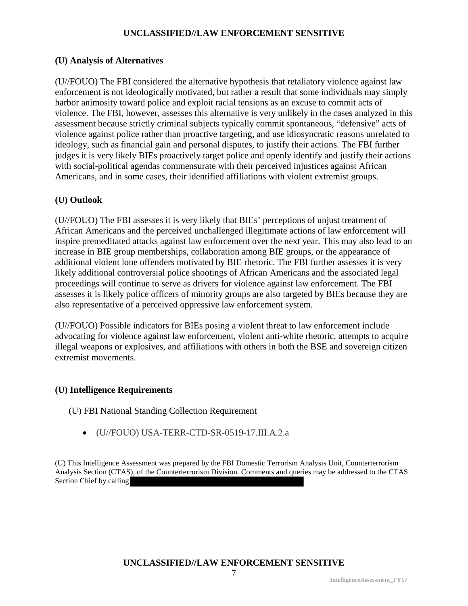## **(U) Analysis of Alternatives**

(U//FOUO) The FBI considered the alternative hypothesis that retaliatory violence against law enforcement is not ideologically motivated, but rather a result that some individuals may simply harbor animosity toward police and exploit racial tensions as an excuse to commit acts of violence. The FBI, however, assesses this alternative is very unlikely in the cases analyzed in this assessment because strictly criminal subjects typically commit spontaneous, "defensive" acts of violence against police rather than proactive targeting, and use idiosyncratic reasons unrelated to ideology, such as financial gain and personal disputes, to justify their actions. The FBI further judges it is very likely BIEs proactively target police and openly identify and justify their actions with social-political agendas commensurate with their perceived injustices against African Americans, and in some cases, their identified affiliations with violent extremist groups.

## **(U) Outlook**

(U//FOUO) The FBI assesses it is very likely that BIEs' perceptions of unjust treatment of African Americans and the perceived unchallenged illegitimate actions of law enforcement will inspire premeditated attacks against law enforcement over the next year. This may also lead to an increase in BIE group memberships, collaboration among BIE groups, or the appearance of additional violent lone offenders motivated by BIE rhetoric. The FBI further assesses it is very likely additional controversial police shootings of African Americans and the associated legal proceedings will continue to serve as drivers for violence against law enforcement. The FBI assesses it is likely police officers of minority groups are also targeted by BIEs because they are also representative of a perceived oppressive law enforcement system.

(U//FOUO) Possible indicators for BIEs posing a violent threat to law enforcement include advocating for violence against law enforcement, violent anti-white rhetoric, attempts to acquire illegal weapons or explosives, and affiliations with others in both the BSE and sovereign citizen extremist movements.

# **(U) Intelligence Requirements**

(U) FBI National Standing Collection Requirement

• (U//FOUO) USA-TERR-CTD-SR-0519-17.III.A.2.a

(U) This Intelligence Assessment was prepared by the FBI Domestic Terrorism Analysis Unit, Counterterrorism Analysis Section (CTAS), of the Counterterrorism Division. Comments and queries may be addressed to the CTAS Section Chief by calling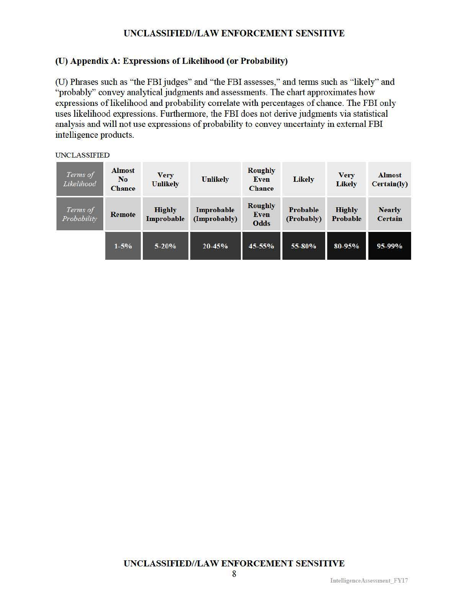# (U) Appendix A: Expressions of Likelihood (or Probability)

(U) Phrases such as "the FBI judges" and "the FBI assesses," and tenns such as "likely" and "probably" convey analytical judgments and assessments. The chart approximates how expressions of likelihood and probability conelate with percentages of chance. The FBI only uses likelihood expressions. Furthermore, the FBI does not derive judgments via statistical analysis and will not use expressions of probability to convey uncertainty in external FBI intelligence products.

#### UNCLASSIFIED

| Terms of<br>Likelihood  | <b>Almost</b><br>N <sub>o</sub><br><b>Chance</b> | <b>Very</b><br><b>Unlikely</b> | <b>Unlikely</b>            | <b>Roughly</b><br><b>Even</b><br><b>Chance</b> | <b>Likely</b>          | <b>Very</b><br><b>Likely</b> | <b>Almost</b><br>Certain(ly)    |
|-------------------------|--------------------------------------------------|--------------------------------|----------------------------|------------------------------------------------|------------------------|------------------------------|---------------------------------|
| Terms of<br>Probability | <b>Remote</b>                                    | <b>Highly</b><br>Improbable    | Improbable<br>(Improbably) | <b>Roughly</b><br>Even<br>Odds                 | Probable<br>(Probably) | <b>Highly</b><br>Probable    | <b>Nearly</b><br><b>Certain</b> |
|                         | $1 - 5%$                                         | $5 - 20%$                      | 20-45%                     | 45-55%                                         | 55-80%                 | 80-95%                       | 95-99%                          |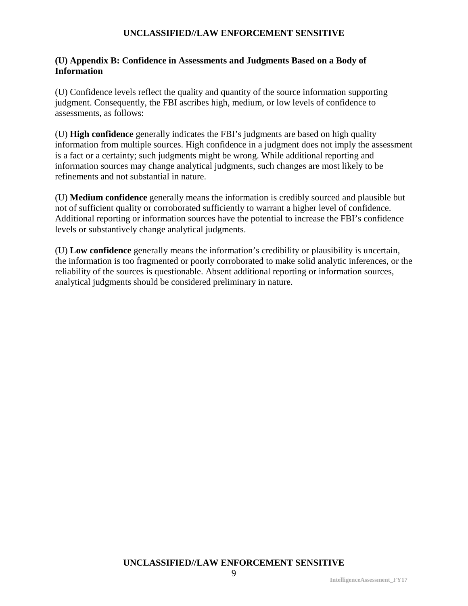## **(U) Appendix B: Confidence in Assessments and Judgments Based on a Body of Information**

(U) Confidence levels reflect the quality and quantity of the source information supporting judgment. Consequently, the FBI ascribes high, medium, or low levels of confidence to assessments, as follows:

(U) **High confidence** generally indicates the FBI's judgments are based on high quality information from multiple sources. High confidence in a judgment does not imply the assessment is a fact or a certainty; such judgments might be wrong. While additional reporting and information sources may change analytical judgments, such changes are most likely to be refinements and not substantial in nature.

(U) **Medium confidence** generally means the information is credibly sourced and plausible but not of sufficient quality or corroborated sufficiently to warrant a higher level of confidence. Additional reporting or information sources have the potential to increase the FBI's confidence levels or substantively change analytical judgments.

(U) **Low confidence** generally means the information's credibility or plausibility is uncertain, the information is too fragmented or poorly corroborated to make solid analytic inferences, or the reliability of the sources is questionable. Absent additional reporting or information sources, analytical judgments should be considered preliminary in nature.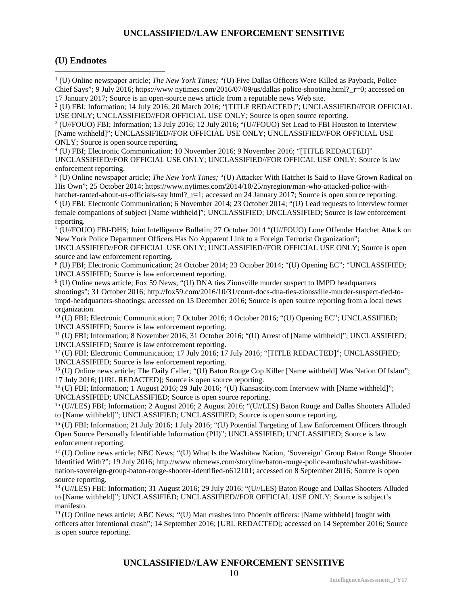#### **(U) Endnotes**

 $\overline{a}$ 

<sup>1</sup> (U) Online newspaper article; *The New York Times;* "(U) Five Dallas Officers Were Killed as Payback, Police Chief Says"; 9 July 2016; https://www.nytimes.com/2016/07/09/us/dallas-police-shooting.html?  $r=0$ ; accessed on 17 January 2017; Source is an open-source news article from a reputable news Web site.

<sup>2</sup> (U) FBI; Information; 14 July 2016; 20 March 2016; "[TITLE REDACTED]"; UNCLASSIFIED//FOR OFFICIAL USE ONLY; UNCLASSIFIED//FOR OFFICIAL USE ONLY; Source is open source reporting.

<sup>3</sup> (U//FOUO) FBI; Information; 13 July 2016; 12 July 2016; "(U//FOUO) Set Lead to FBI Houston to Interview [Name withheld]"; UNCLASSIFIED//FOR OFFICIAL USE ONLY; UNCLASSIFIED//FOR OFFICIAL USE ONLY; Source is open source reporting.<br><sup>4</sup> (U) FBI; Electronic Communication; 10 November 2016; 9 November 2016; "[TITLE REDACTED]"

UNCLASSIFIED//FOR OFFICIAL USE ONLY; UNCLASSIFIED//FOR OFFICAL USE ONLY; Source is law enforcement reporting.

<sup>5</sup> (U) Online newspaper article; *The New York Times;* "(U) Attacker With Hatchet Is Said to Have Grown Radical on His Own"; 25 October 2014; https://www.nytimes.com/2014/10/25/nyregion/man-who-attacked-police-withhatchet-ranted-about-us-officials-say html? r=1; accessed on 24 January 2017; Source is open source reporting.

<sup>6</sup> (U) FBI; Electronic Communication; 6 November 2014; 23 October 2014; "(U) Lead requests to interview former female companions of subject [Name withheld]"; UNCLASSIFIED; UNCLASSIFIED; Source is law enforcement reporting.

<sup>7</sup> (U//FOUO) FBI-DHS; Joint Intelligence Bulletin; 27 October 2014 "(U//FOUO) Lone Offender Hatchet Attack on New York Police Department Officers Has No Apparent Link to a Foreign Terrorist Organization";

UNCLASSIFIED//FOR OFFICIAL USE ONLY; UNCLASSIFIED//FOR OFFICIAL USE ONLY; Source is open source and law enforcement reporting.

<sup>8</sup> (U) FBI; Electronic Communication; 24 October 2014; 23 October 2014; "(U) Opening EC"; "UNCLASSIFIED; UNCLASSIFIED; Source is law enforcement reporting.

<sup>9</sup> (U) Online news article; Fox 59 News; "(U) DNA ties Zionsville murder suspect to IMPD headquarters shootings"; 31 October 2016; http://fox59.com/2016/10/31/court-docs-dna-ties-zionsville-murder-suspect-tied-toimpd-headquarters-shootings; accessed on 15 December 2016; Source is open source reporting from a local news organization.

<sup>10</sup> (U) FBI; Electronic Communication; 7 October 2016; 4 October 2016; "(U) Opening EC"; UNCLASSIFIED; UNCLASSIFIED; Source is law enforcement reporting.

<sup>11</sup> (U) FBI; Information; 8 November 2016; 31 October 2016; "(U) Arrest of [Name withheld]"; UNCLASSIFIED; UNCLASSIFIED; Source is law enforcement reporting.

<sup>12</sup> (U) FBI; Electronic Communication; 17 July 2016; 17 July 2016; "[TITLE REDACTED]"; UNCLASSIFIED; UNCLASSIFIED; Source is law enforcement reporting.

<sup>13</sup> (U) Online news article; The Daily Caller; "(U) Baton Rouge Cop Killer [Name withheld] Was Nation Of Islam"; 17 July 2016; [URL REDACTED]; Source is open source reporting.

<sup>14</sup> (U) FBI; Information; 1 August 2016; 29 July 2016; "(U) Kansascity.com Interview with [Name withheld]"; UNCLASSIFIED; UNCLASSIFIED; Source is open source reporting.

<sup>15</sup> (U//LES) FBI; Information; 2 August 2016; 2 August 2016; "(U//LES) Baton Rouge and Dallas Shooters Alluded to [Name withheld]"; UNCLASSIFIED; UNCLASSIFIED; Source is open source reporting.

<sup>16</sup> (U) FBI; Information; 21 July 2016; 1 July 2016; "(U) Potential Targeting of Law Enforcement Officers through Open Source Personally Identifiable Information (PII)"; UNCLASSIFIED; UNCLASSIFIED; Source is law enforcement reporting.

<sup>17</sup> (U) Online news article; NBC News; "(U) What Is the Washitaw Nation, 'Sovereign' Group Baton Rouge Shooter Identified With?"; 19 July 2016; http://www nbcnews.com/storyline/baton-rouge-police-ambush/what-washitawnation-sovereign-group-baton-rouge-shooter-identified-n612101; accessed on 8 September 2016; Source is open source reporting.

<sup>18</sup> (U//LES) FBI; Information; 31 August 2016; 29 July 2016; "(U//LES) Baton Rouge and Dallas Shooters Alluded to [Name withheld]"; UNCLASSIFIED; UNCLASSIFIED//FOR OFFICIAL USE ONLY; Source is subject's manifesto.

 $19$  (U) Online news article; ABC News; "(U) Man crashes into Phoenix officers: [Name withheld] fought with officers after intentional crash"; 14 September 2016; [URL REDACTED]; accessed on 14 September 2016; Source is open source reporting.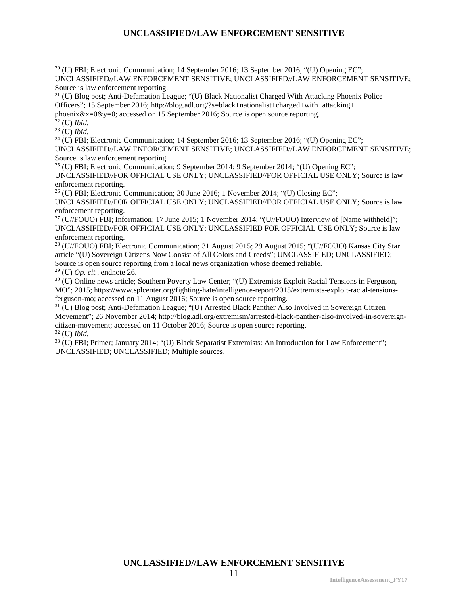$^{20}$  (U) FBI; Electronic Communication; 14 September 2016; 13 September 2016; "(U) Opening EC"; UNCLASSIFIED//LAW ENFORCEMENT SENSITIVE; UNCLASSIFIED//LAW ENFORCEMENT SENSITIVE; Source is law enforcement reporting.

 $21$  (U) Blog post; Anti-Defamation League; "(U) Black Nationalist Charged With Attacking Phoenix Police Officers"; 15 September 2016; http://blog.adl.org/?s=black+nationalist+charged+with+attacking+

phoenix&x=0&y=0; accessed on 15 September 2016; Source is open source reporting.

<sup>22</sup> (U) *Ibid.*

<sup>23</sup> (U) *Ibid.*

 $^{24}$  (U) FBI; Electronic Communication; 14 September 2016; 13 September 2016; "(U) Opening EC";

UNCLASSIFIED//LAW ENFORCEMENT SENSITIVE; UNCLASSIFIED//LAW ENFORCEMENT SENSITIVE; Source is law enforcement reporting.

<sup>25</sup> (U) FBI; Electronic Communication; 9 September 2014; 9 September 2014; "(U) Opening EC";

UNCLASSIFIED//FOR OFFICIAL USE ONLY; UNCLASSIFIED//FOR OFFICIAL USE ONLY; Source is law enforcement reporting.

 $^{26}$  (U) FBI; Electronic Communication; 30 June 2016; 1 November 2014; "(U) Closing EC";

UNCLASSIFIED//FOR OFFICIAL USE ONLY; UNCLASSIFIED//FOR OFFICIAL USE ONLY; Source is law enforcement reporting.

<sup>27</sup> (U//FOUO) FBI; Information; 17 June 2015; 1 November 2014; "(U//FOUO) Interview of [Name withheld]"; UNCLASSIFIED//FOR OFFICIAL USE ONLY; UNCLASSIFIED FOR OFFICIAL USE ONLY; Source is law enforcement reporting.

<sup>28</sup> (U//FOUO) FBI; Electronic Communication; 31 August 2015; 29 August 2015; "(U//FOUO) Kansas City Star article "(U) Sovereign Citizens Now Consist of All Colors and Creeds"; UNCLASSIFIED; UNCLASSIFIED; Source is open source reporting from a local news organization whose deemed reliable.

<sup>29</sup> (U) *Op. cit.,* endnote 26.

<sup>30</sup> (U) Online news article; Southern Poverty Law Center; "(U) Extremists Exploit Racial Tensions in Ferguson, MO"; 2015; https://www.splcenter.org/fighting-hate/intelligence-report/2015/extremists-exploit-racial-tensionsferguson-mo; accessed on 11 August 2016; Source is open source reporting.

<sup>31</sup> (U) Blog post; Anti-Defamation League; "(U) Arrested Black Panther Also Involved in Sovereign Citizen Movement"; 26 November 2014; http://blog.adl.org/extremism/arrested-black-panther-also-involved-in-sovereigncitizen-movement; accessed on 11 October 2016; Source is open source reporting.

<sup>32</sup> (U) *Ibid.*

<sup>33</sup> (U) FBI; Primer; January 2014; "(U) Black Separatist Extremists: An Introduction for Law Enforcement"; UNCLASSIFIED; UNCLASSIFIED; Multiple sources.